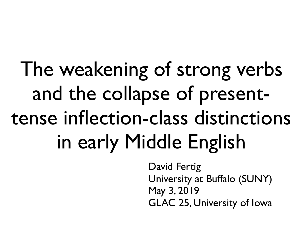### The weakening of strong verbs and the collapse of presenttense inflection-class distinctions in early Middle English

David Fertig University at Buffalo (SUNY) May 3, 2019 GLAC 25, University of Iowa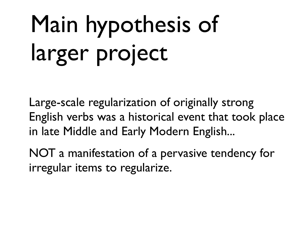# Main hypothesis of larger project

Large-scale regularization of originally strong English verbs was a historical event that took place in late Middle and Early Modern English...

NOT a manifestation of a pervasive tendency for irregular items to regularize.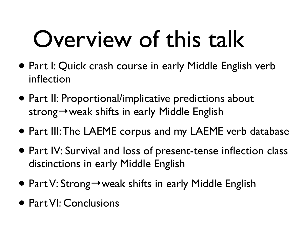### Overview of this talk

- Part I: Quick crash course in early Middle English verb inflection
- Part II: Proportional/implicative predictions about strong→weak shifts in early Middle English
- Part III: The LAEME corpus and my LAEME verb database
- Part IV: Survival and loss of present-tense inflection class distinctions in early Middle English
- Part V: Strong→weak shifts in early Middle English
- Part VI: Conclusions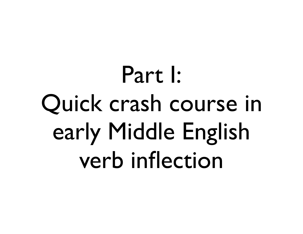Part I: Quick crash course in early Middle English verb inflection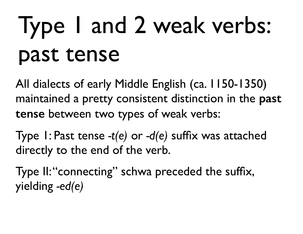### Type 1 and 2 weak verbs: past tense

All dialects of early Middle English (ca. 1150-1350) maintained a pretty consistent distinction in the **past tense** between two types of weak verbs:

Type 1: Past tense *-t(e)* or *-d(e)* suffix was attached directly to the end of the verb.

Type II: "connecting" schwa preceded the suffix, yielding *-ed(e)*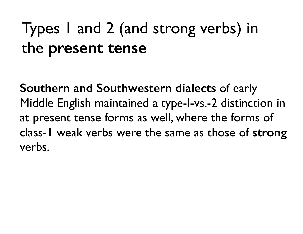### Types 1 and 2 (and strong verbs) in the **present tense**

**Southern and Southwestern dialects** of early Middle English maintained a type-I-vs.-2 distinction in at present tense forms as well, where the forms of class-1 weak verbs were the same as those of **strong** verbs.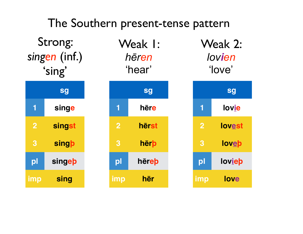#### **sg 1 singe 2 singst 3 singþ pl singeþ imp sing** Strong: *singen* (inf.) 'sing' **sg 1 hēre 2 hērst 3 hērþ pl hēreþ imp hēr** Weak 1: *hēren*  'hear' **sg 1 lovie 2 lovest 3 loveþ pl lovieþ imp love** Weak 2: *lovien* 'love' The Southern present-tense pattern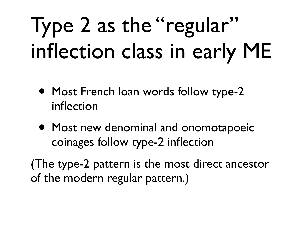### Type 2 as the "regular" inflection class in early ME

- Most French Ioan words follow type-2 inflection
- Most new denominal and onomotapoeic coinages follow type-2 inflection

(The type-2 pattern is the most direct ancestor of the modern regular pattern.)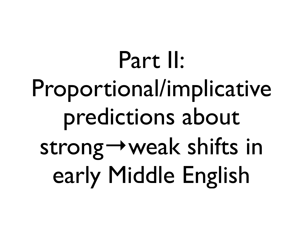Part II: Proportional/implicative predictions about strong→weak shifts in early Middle English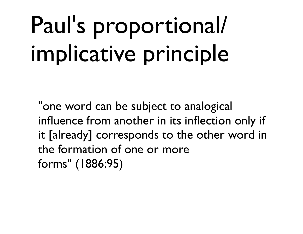## Paul's proportional/ implicative principle

"one word can be subject to analogical influence from another in its inflection only if it [already] corresponds to the other word in the formation of one or more forms" (1886:95)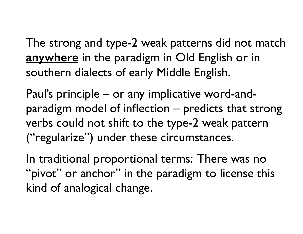The strong and type-2 weak patterns did not match **anywhere** in the paradigm in Old English or in southern dialects of early Middle English.

Paul's principle – or any implicative word-andparadigm model of inflection – predicts that strong verbs could not shift to the type-2 weak pattern ("regularize") under these circumstances.

In traditional proportional terms: There was no "pivot" or anchor" in the paradigm to license this kind of analogical change.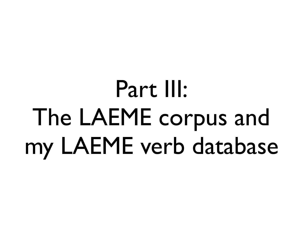### Part III: The LAEME corpus and my LAEME verb database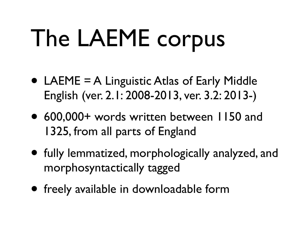# The LAEME corpus

- LAEME = A Linguistic Atlas of Early Middle English (ver. 2.1: 2008-2013, ver. 3.2: 2013-)
- 600,000+ words written between 1150 and 1325, from all parts of England
- fully lemmatized, morphologically analyzed, and morphosyntactically tagged
- freely available in downloadable form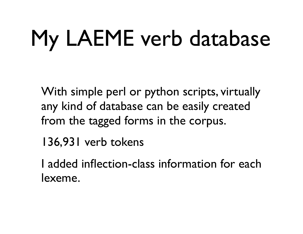## My LAEME verb database

With simple perl or python scripts, virtually any kind of database can be easily created from the tagged forms in the corpus.

136,931 verb tokens

I added inflection-class information for each lexeme.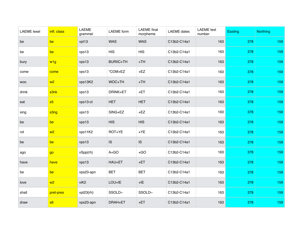| <b>LAEME</b> lexel | infl. class     | LAEME<br>grammel | <b>LAEME</b> form | <b>LAEME</b> final<br>morpheme | <b>LAEME</b> dates | <b>LAEME</b> text<br>number | Easting | <b>Northing</b> |
|--------------------|-----------------|------------------|-------------------|--------------------------------|--------------------|-----------------------------|---------|-----------------|
| be                 | be              | vpt13            | <b>WAS</b>        | <b>WAS</b>                     | C13b2-C14a1        | 163                         | 378     | 159             |
| be                 | be              | vps13            | <b>HIS</b>        | <b>HIS</b>                     | C13b2-C14a1        | 163                         | 378     | 159             |
| bury               | w <sub>1g</sub> | vps13            | <b>BURIIC+TH</b>  | $+TH$                          | C13b2-C14a1        | 163                         | 378     | 159             |
| come               | come            | vps13            | *COM+EZ           | $+EZ$                          | C13b2-C14a1        | 163                         | 378     | 159             |
| <b>WOO</b>         | w2              | vps13K2          | WOC+TH            | $+TH$                          | C13b2-C14a1        | 163                         | 378     | 159             |
| drink              | s3nk            | vps13            | DRINK+ET          | $+ET$                          | C13b2-C14a1        | 163                         | 378     | 159             |
| eat                | s <sub>5</sub>  | vps13-ct         | <b>HET</b>        | <b>HET</b>                     | C13b2-C14a1        | 163                         | 378     | 159             |
| sing               | s3ng            | vps13            | SING+EZ           | $+EZ$                          | C13b2-C14a1        | 163                         | 378     | 159             |
| be                 | be              | vps13            | <b>HIS</b>        | <b>HIS</b>                     | C13b2-C14a1        | 163                         | 378     | 159             |
| rot                | W <sup>2</sup>  | vps11K2          | ROT+YE            | $+YE$                          | C13b2-C14a1        | 163                         | 378     | 159             |
| be                 | be              | vps13            | IS                | IS                             | C13b2-C14a1        | 163                         | 378     | 159             |
| ago                | go              | vSpp{rh}         | $A + GO$          | $+GO$                          | C13b2-C14a1        | 163                         | 378     | 159             |
| have               | have            | vps13            | HAU+ET            | $+ET$                          | C13b2-C14a1        | 163                         | 378     | 159             |
| be                 | be              | vps23-apn        | <b>BET</b>        | <b>BET</b>                     | C13b2-C14a1        | 163                         | 378     | 159             |
| love               | w <sub>2</sub>  | viK <sub>2</sub> | LOU+IE            | $+IE$                          | C13b2-C14a1        | 163                         | 378     | 159             |
| shall              | pret-pres       | vpt23{rh}        | SSOLD~            | SSOLD~                         | C13b2-C14a1        | 163                         | 378     | 159             |
| draw               | s6              | vps23-apn        | DRAH+ET           | $+ET$                          | C13b2-C14a1        | 163                         | 378     | 159             |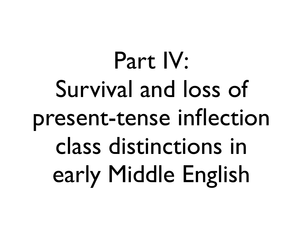Part IV: Survival and loss of present-tense inflection class distinctions in early Middle English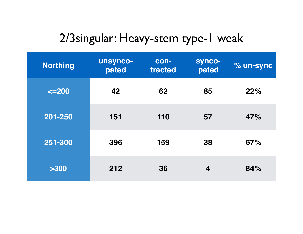#### 2/3singular: Heavy-stem type-1 weak

| <b>Northing</b> | unsynco-<br>pated | con-<br>tracted | synco-<br>pated | % un-sync |
|-----------------|-------------------|-----------------|-----------------|-----------|
| $\leq$ 200      | 42                | 62              | 85              | 22%       |
| 201-250         | 151               | 110             | 57              | 47%       |
| 251-300         | 396               | 159             | 38              | 67%       |
| >300            | 212               | 36              | 4               | 84%       |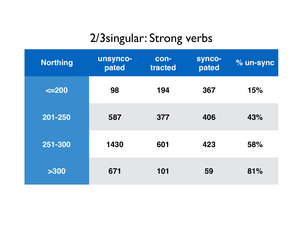#### 2/3singular: Strong verbs

| <b>Northing</b> | unsynco-<br>pated | con-<br>tracted | synco-<br>pated | % un-sync |
|-----------------|-------------------|-----------------|-----------------|-----------|
| $\leq$ 200      | 98                | 194             | 367             | 15%       |
| 201-250         | 587               | 377             | 406             | 43%       |
| 251-300         | 1430              | 601             | 423             | 58%       |
| >300            | 671               | 101             | 59              | 81%       |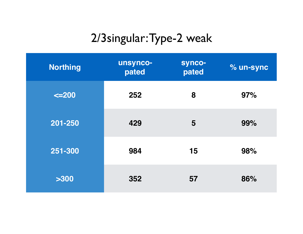#### 2/3singular: Type-2 weak

| <b>Northing</b> | unsynco-<br>pated | synco-<br>pated | % un-sync |
|-----------------|-------------------|-----------------|-----------|
| $\leq$ 200      | 252               | 8               | 97%       |
| 201-250         | 429               | 5               | 99%       |
| 251-300         | 984               | 15              | 98%       |
| >300            | 352               | 57              | 86%       |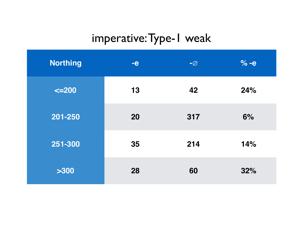#### imperative: Type-1 weak

| <b>Northing</b> | $-e$ | $-\varnothing$ | $% -e$ |
|-----------------|------|----------------|--------|
| $\leq$ 200      | 13   | 42             | 24%    |
| 201-250         | 20   | 317            | 6%     |
| 251-300         | 35   | 214            | 14%    |
| >300            | 28   | 60             | 32%    |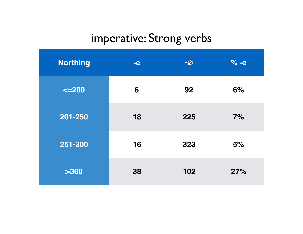#### imperative: Strong verbs

| <b>Northing</b> | $-e$ | $-\varnothing$ | $\% -e$ |
|-----------------|------|----------------|---------|
| $\leq$ 200      | 6    | 92             | 6%      |
| 201-250         | 18   | 225            | 7%      |
| 251-300         | 16   | 323            | 5%      |
| >300            | 38   | 102            | 27%     |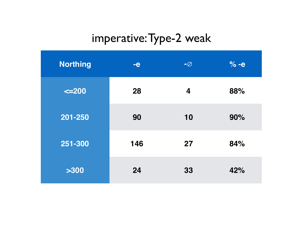#### imperative: Type-2 weak

| <b>Northing</b> | $-e$ | $-\varnothing$ | $% -e$ |
|-----------------|------|----------------|--------|
| $\leq$ 200      | 28   | 4              | 88%    |
| 201-250         | 90   | 10             | 90%    |
| 251-300         | 146  | 27             | 84%    |
| >300            | 24   | 33             | 42%    |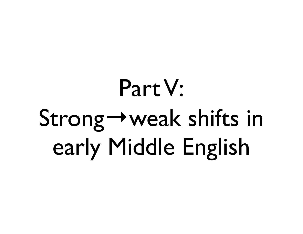## Part V: Strong→weak shifts in early Middle English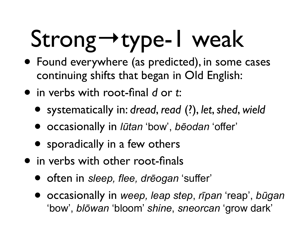# Strong→type-1 weak

- Found everywhere (as predicted), in some cases continuing shifts that began in Old English:
- in verbs with root-final *d* or *t*:
	- systematically in: *dread*, *read* (?), *let*, *shed*, *wield*
	- occasionally in *lūtan* 'bow', *bēodan* 'offer'
	- sporadically in a few others
- in verbs with other root-finals
	- often in *sleep, flee, drēogan* 'suffer'
	- occasionally in *weep, leap step*, *rīpan* 'reap', *būgan* 'bow', *blōwan* 'bloom' *shine*, *sneorcan* 'grow dark'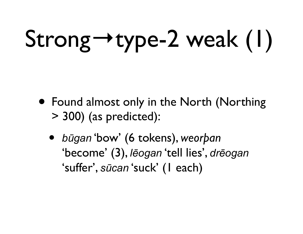# Strong→type-2 weak (1)

- Found almost only in the North (Northing > 300) (as predicted):
	- *<sup>b</sup>ūgan* 'bow' (6 tokens), *weorþan* 'become' (3), *lēogan* 'tell lies', *drēogan* 'suffer', *sūcan* 'suck' (1 each)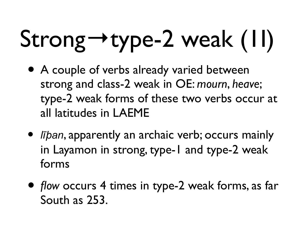# Strong→type-2 weak (1I)

- A couple of verbs already varied between strong and class-2 weak in OE: *mourn*, *heave*; type-2 weak forms of these two verbs occur at all latitudes in LAEME
- *līban*, apparently an archaic verb; occurs mainly in Layamon in strong, type-1 and type-2 weak forms
- *flow* occurs 4 times in type-2 weak forms, as far South as 253.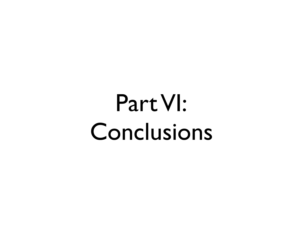### Part VI: Conclusions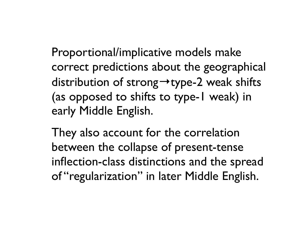Proportional/implicative models make correct predictions about the geographical distribution of strong→type-2 weak shifts (as opposed to shifts to type-1 weak) in early Middle English.

They also account for the correlation between the collapse of present-tense inflection-class distinctions and the spread of "regularization" in later Middle English.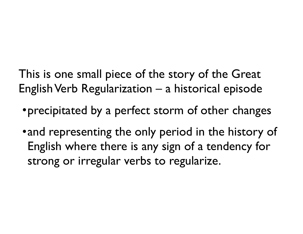This is one small piece of the story of the Great English Verb Regularization – a historical episode

- •precipitated by a perfect storm of other changes
- and representing the only period in the history of English where there is any sign of a tendency for strong or irregular verbs to regularize.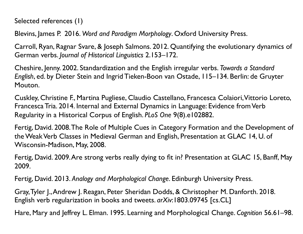Selected references (1)

Blevins, James P. 2016. *Word and Paradigm Morphology*. Oxford University Press.

Carroll, Ryan, Ragnar Svare, & Joseph Salmons. 2012. Quantifying the evolutionary dynamics of German verbs. *Journal of Historical Linguistics* 2.153–172.

Cheshire, Jenny. 2002. Standardization and the English irregular verbs. *Towards a Standard English*, ed. by Dieter Stein and Ingrid Tieken-Boon van Ostade, 115–134. Berlin: de Gruyter Mouton.

Cuskley, Christine F., Martina Pugliese, Claudio Castellano, Francesca Colaiori, Vittorio Loreto, Francesca Tria. 2014. Internal and External Dynamics in Language: Evidence from Verb Regularity in a Historical Corpus of English. *PLoS One* 9(8).e102882.

Fertig, David. 2008. The Role of Multiple Cues in Category Formation and the Development of the Weak Verb Classes in Medieval German and English, Presentation at GLAC 14, U. of Wisconsin-Madison, May, 2008.

Fertig, David. 2009. Are strong verbs really dying to fit in? Presentation at GLAC 15, Banff, May 2009.

Fertig, David. 2013. *Analogy and Morphological Change*. Edinburgh University Press.

Gray, Tyler J., Andrew J. Reagan, Peter Sheridan Dodds, & Christopher M. Danforth. 2018. English verb regularization in books and tweets. *arXiv*:1803.09745 [cs.CL]

Hare, Mary and Jeffrey L. Elman. 1995. Learning and Morphological Change. *Cognition* 56.61–98.